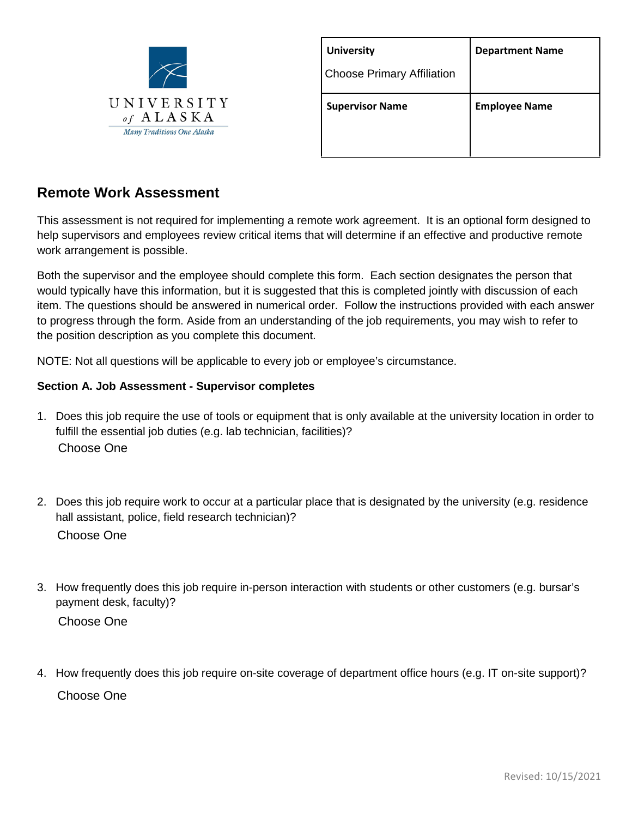

| <b>University</b>                 | <b>Department Name</b> |  |
|-----------------------------------|------------------------|--|
| <b>Choose Primary Affiliation</b> |                        |  |
| <b>Supervisor Name</b>            | <b>Employee Name</b>   |  |
|                                   |                        |  |

# **Remote Work Assessment**

This assessment is not required for implementing a remote work agreement. It is an optional form designed to help supervisors and employees review critical items that will determine if an effective and productive remote work arrangement is possible.

Both the supervisor and the employee should complete this form. Each section designates the person that would typically have this information, but it is suggested that this is completed jointly with discussion of each item. The questions should be answered in numerical order. Follow the instructions provided with each answer to progress through the form. Aside from an understanding of the job requirements, you may wish to refer to the position description as you complete this document.

NOTE: Not all questions will be applicable to every job or employee's circumstance.

#### **Section A. Job Assessment - Supervisor completes**

- 1. Does this job require the use of tools or equipment that is only available at the university location in order to fulfill the essential job duties (e.g. lab technician, facilities)? Choose One
- 2. Does this job require work to occur at a particular place that is designated by the university (e.g. residence hall assistant, police, field research technician)? Choose One
- 3. How frequently does this job require in-person interaction with students or other customers (e.g. bursar's payment desk, faculty)? Choose One
- 4. How frequently does this job require on-site coverage of department office hours (e.g. IT on-site support)? Choose One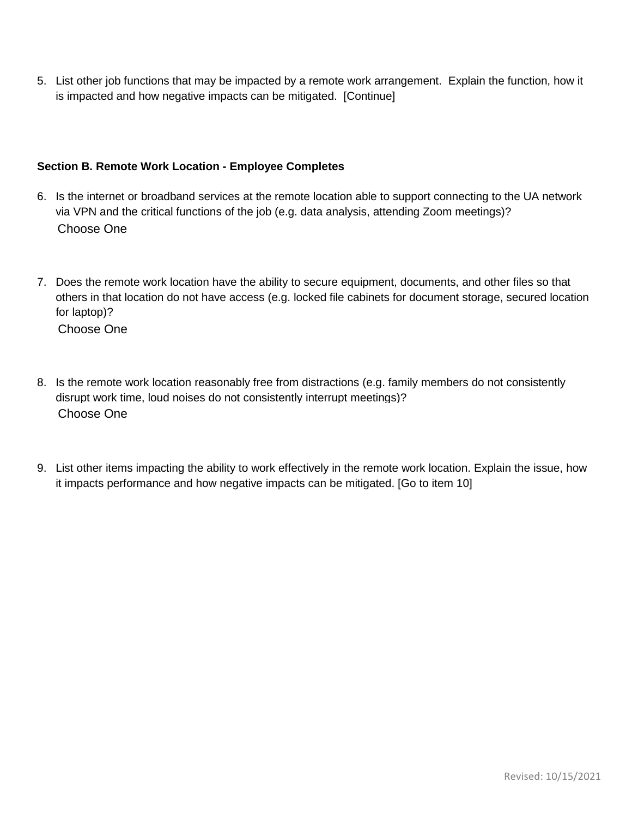5. List other job functions that may be impacted by a remote work arrangement. Explain the function, how it is impacted and how negative impacts can be mitigated. [Continue]

# **Section B. Remote Work Location - Employee Completes**

- 6. Is the internet or broadband services at the remote location able to support connecting to the UA network via VPN and the critical functions of the job (e.g. data analysis, attending Zoom meetings)? Choose One
- 7. Does the remote work location have the ability to secure equipment, documents, and other files so that others in that location do not have access (e.g. locked file cabinets for document storage, secured location for laptop)? Choose One
	-
- 8. Is the remote work location reasonably free from distractions (e.g. family members do not consistently disrupt work time, loud noises do not consistently interrupt meetings)? Choose One
- 9. List other items impacting the ability to work effectively in the remote work location. Explain the issue, how it impacts performance and how negative impacts can be mitigated. [Go to item 10]